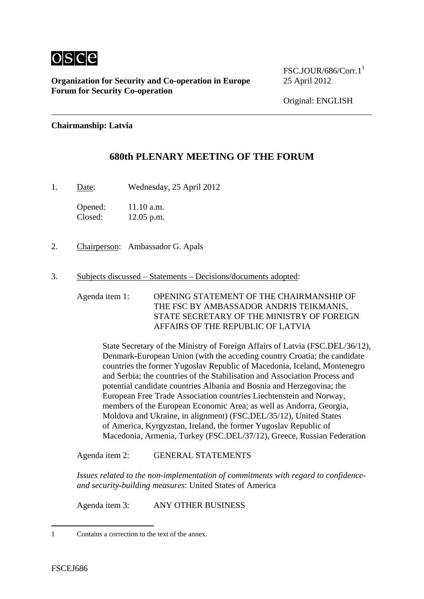

**Organization for Security and Co-operation in Europe** 25 April 2012 **Forum for Security Co-operation**

 $FSC.JOLIR/686/Corr.1<sup>1</sup>$ 

Original: ENGLISH

## **Chairmanship: Latvia**

## **680th PLENARY MEETING OF THE FORUM**

1. Date: Wednesday, 25 April 2012

Opened: 11.10 a.m. Closed: 12.05 p.m.

- 2. Chairperson: Ambassador G. Apals
- 3. Subjects discussed Statements Decisions/documents adopted:

Agenda item 1: OPENING STATEMENT OF THE CHAIRMANSHIP OF THE FSC BY AMBASSADOR ANDRIS TEIKMANIS, STATE SECRETARY OF THE MINISTRY OF FOREIGN AFFAIRS OF THE REPUBLIC OF LATVIA

State Secretary of the Ministry of Foreign Affairs of Latvia (FSC.DEL/36/12), Denmark-European Union (with the acceding country Croatia; the candidate countries the former Yugoslav Republic of Macedonia, Iceland, Montenegro and Serbia; the countries of the Stabilisation and Association Process and potential candidate countries Albania and Bosnia and Herzegovina; the European Free Trade Association countries Liechtenstein and Norway, members of the European Economic Area; as well as Andorra, Georgia, Moldova and Ukraine, in alignment) (FSC.DEL/35/12), United States of America, Kyrgyzstan, Ireland, the former Yugoslav Republic of Macedonia, Armenia, Turkey (FSC.DEL/37/12), Greece, Russian Federation

Agenda item 2: GENERAL STATEMENTS

*Issues related to the non-implementation of commitments with regard to confidenceand security-building measures*: United States of America

Agenda item 3: ANY OTHER BUSINESS

1

<sup>1</sup> Contains a correction to the text of the annex.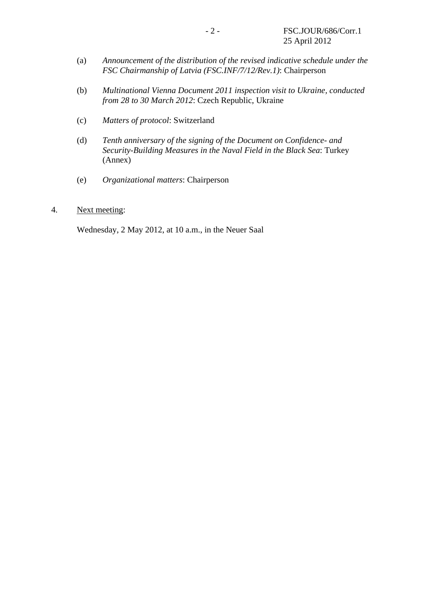- (a) *Announcement of the distribution of the revised indicative schedule under the FSC Chairmanship of Latvia (FSC.INF/7/12/Rev.1)*: Chairperson
- (b) *Multinational Vienna Document 2011 inspection visit to Ukraine, conducted from 28 to 30 March 2012*: Czech Republic, Ukraine
- (c) *Matters of protocol*: Switzerland
- (d) *Tenth anniversary of the signing of the Document on Confidence- and Security-Building Measures in the Naval Field in the Black Sea*: Turkey (Annex)
- (e) *Organizational matters*: Chairperson

## 4. Next meeting:

Wednesday, 2 May 2012, at 10 a.m., in the Neuer Saal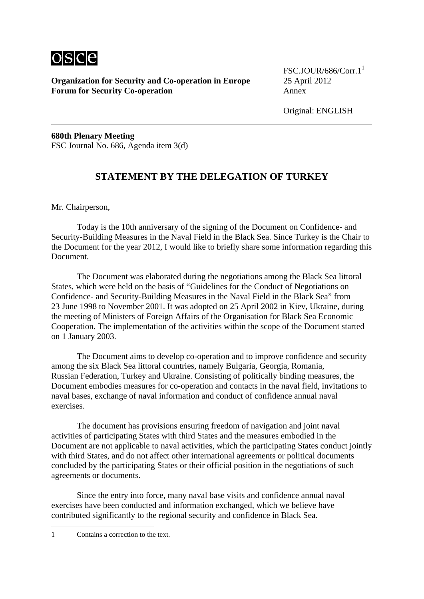

**Organization for Security and Co-operation in Europe** 25 April 2012 **Forum for Security Co-operation** Annex

 $FSC.JOLIR/686/Corr.1<sup>1</sup>$ 

Original: ENGLISH

**680th Plenary Meeting**  FSC Journal No. 686, Agenda item 3(d)

## **STATEMENT BY THE DELEGATION OF TURKEY**

Mr. Chairperson,

 Today is the 10th anniversary of the signing of the Document on Confidence- and Security-Building Measures in the Naval Field in the Black Sea. Since Turkey is the Chair to the Document for the year 2012, I would like to briefly share some information regarding this Document.

 The Document was elaborated during the negotiations among the Black Sea littoral States, which were held on the basis of "Guidelines for the Conduct of Negotiations on Confidence- and Security-Building Measures in the Naval Field in the Black Sea" from 23 June 1998 to November 2001. It was adopted on 25 April 2002 in Kiev, Ukraine, during the meeting of Ministers of Foreign Affairs of the Organisation for Black Sea Economic Cooperation. The implementation of the activities within the scope of the Document started on 1 January 2003.

 The Document aims to develop co-operation and to improve confidence and security among the six Black Sea littoral countries, namely Bulgaria, Georgia, Romania, Russian Federation, Turkey and Ukraine. Consisting of politically binding measures, the Document embodies measures for co-operation and contacts in the naval field, invitations to naval bases, exchange of naval information and conduct of confidence annual naval exercises.

 The document has provisions ensuring freedom of navigation and joint naval activities of participating States with third States and the measures embodied in the Document are not applicable to naval activities, which the participating States conduct jointly with third States, and do not affect other international agreements or political documents concluded by the participating States or their official position in the negotiations of such agreements or documents.

 Since the entry into force, many naval base visits and confidence annual naval exercises have been conducted and information exchanged, which we believe have contributed significantly to the regional security and confidence in Black Sea.

1

<sup>1</sup> Contains a correction to the text.